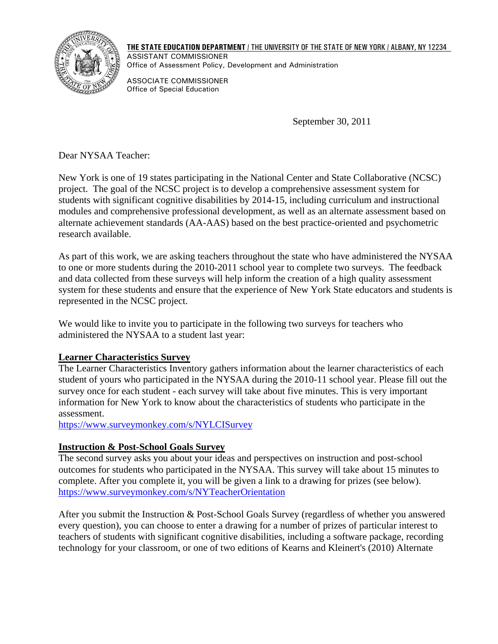

**THE STATE EDUCATION DEPARTMENT** / THE UNIVERSITY OF THE STATE OF NEW YORK / ALBANY, NY 12234 ASSISTANT COMMISSIONER Office of Assessment Policy, Development and Administration

ASSOCIATE COMMISSIONER Office of Special Education

September 30, 2011

Dear NYSAA Teacher:

New York is one of 19 states participating in the National Center and State Collaborative (NCSC) project. The goal of the NCSC project is to develop a comprehensive assessment system for students with significant cognitive disabilities by 2014-15, including curriculum and instructional modules and comprehensive professional development, as well as an alternate assessment based on alternate achievement standards (AA-AAS) based on the best practice-oriented and psychometric research available.

As part of this work, we are asking teachers throughout the state who have administered the NYSAA to one or more students during the 2010-2011 school year to complete two surveys. The feedback and data collected from these surveys will help inform the creation of a high quality assessment system for these students and ensure that the experience of New York State educators and students is represented in the NCSC project.

We would like to invite you to participate in the following two surveys for teachers who administered the NYSAA to a student last year:

## **Learner Characteristics Survey**

The Learner Characteristics Inventory gathers information about the learner characteristics of each student of yours who participated in the NYSAA during the 2010-11 school year. Please fill out the survey once for each student - each survey will take about five minutes. This is very important information for New York to know about the characteristics of students who participate in the assessment.

https://www.surveymonkey.com/s/NYLCISurvey

## **Instruction & Post-School Goals Survey**

The second survey asks you about your ideas and perspectives on instruction and post-school outcomes for students who participated in the NYSAA. This survey will take about 15 minutes to complete. After you complete it, you will be given a link to a drawing for prizes (see below). https://www.surveymonkey.com/s/NYTeacherOrientation

After you submit the Instruction & Post-School Goals Survey (regardless of whether you answered every question), you can choose to enter a drawing for a number of prizes of particular interest to teachers of students with significant cognitive disabilities, including a software package, recording technology for your classroom, or one of two editions of Kearns and Kleinert's (2010) Alternate